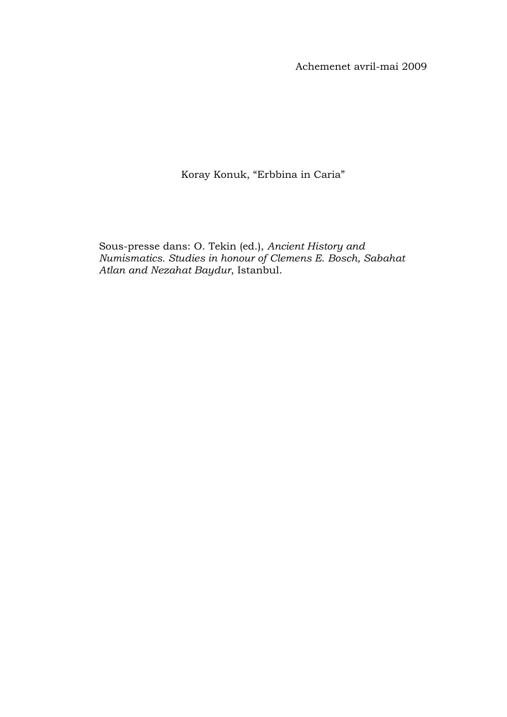Achemenet avril-mai 2009

Koray Konuk, "Erbbina in Caria"

Sous-presse dans: O. Tekin (ed.), *Ancient History and Numismatics. Studies in honour of Clemens E. Bosch, Sabahat Atlan and Nezahat Baydur*, Istanbul.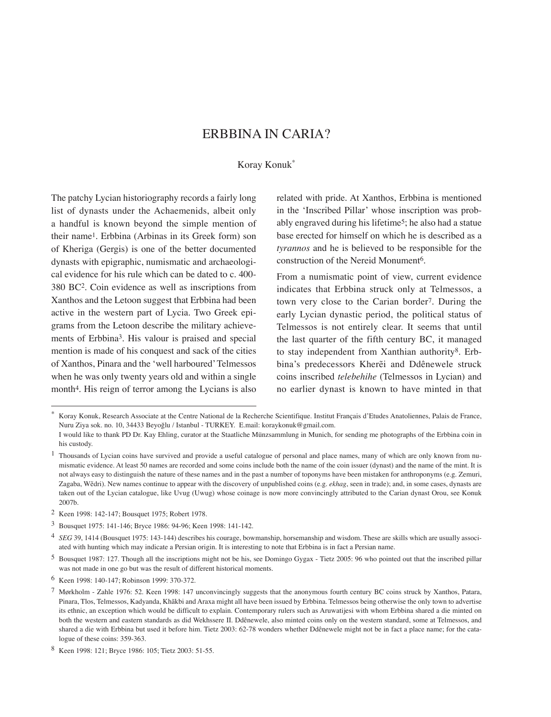## ERBBINA IN CARIA?

#### Koray Konuk\*

The patchy Lycian historiography records a fairly long list of dynasts under the Achaemenids, albeit only a handful is known beyond the simple mention of their name1. Erbbina (Arbinas in its Greek form) son of Kheriga (Gergis) is one of the better documented dynasts with epigraphic, numismatic and archaeological evidence for his rule which can be dated to c. 400- 380 BC2. Coin evidence as well as inscriptions from Xanthos and the Letoon suggest that Erbbina had been active in the western part of Lycia. Two Greek epigrams from the Letoon describe the military achievements of Erbbina3. His valour is praised and special mention is made of his conquest and sack of the cities of Xanthos, Pinara and the 'well harboured' Telmessos when he was only twenty years old and within a single month<sup>4</sup>. His reign of terror among the Lycians is also related with pride. At Xanthos, Erbbina is mentioned in the 'Inscribed Pillar' whose inscription was probably engraved during his lifetime<sup>5</sup>; he also had a statue base erected for himself on which he is described as a *tyrannos* and he is believed to be responsible for the construction of the Nereid Monument6.

From a numismatic point of view, current evidence indicates that Erbbina struck only at Telmessos, a town very close to the Carian border7. During the early Lycian dynastic period, the political status of Telmessos is not entirely clear. It seems that until the last quarter of the fifth century BC, it managed to stay independent from Xanthian authority8. Erbbina's predecessors Kherẽi and Ddênewele struck coins inscribed *telebehihe* (Telmessos in Lycian) and no earlier dynast is known to have minted in that

<sup>\*</sup> Koray Konuk, Research Associate at the Centre National de la Recherche Scientifique. Institut Français d'Etudes Anatoliennes, Palais de France, Nuru Ziya sok. no. 10, 34433 Beyoğlu / Istanbul - TURKEY. E.mail: koraykonuk@gmail.com.

I would like to thank PD Dr. Kay Ehling, curator at the Staatliche Münzsammlung in Munich, for sending me photographs of the Erbbina coin in his custody.

<sup>&</sup>lt;sup>1</sup> Thousands of Lycian coins have survived and provide a useful catalogue of personal and place names, many of which are only known from numismatic evidence. At least 50 names are recorded and some coins include both the name of the coin issuer (dynast) and the name of the mint. It is not always easy to distinguish the nature of these names and in the past a number of toponyms have been mistaken for anthroponyms (e.g. Zemuri, Zagaba, Wẽdri). New names continue to appear with the discovery of unpublished coins (e.g. *ekhag*, seen in trade); and, in some cases, dynasts are taken out of the Lycian catalogue, like Uvug (Uwug) whose coinage is now more convincingly attributed to the Carian dynast Orou, see Konuk 2007b.

<sup>2</sup> Keen 1998: 142-147; Bousquet 1975; Robert 1978.

<sup>3</sup> Bousquet 1975: 141-146; Bryce 1986: 94-96; Keen 1998: 141-142.

<sup>4</sup> *SEG* 39, 1414 (Bousquet 1975: 143-144) describes his courage, bowmanship, horsemanship and wisdom. These are skills which are usually associated with hunting which may indicate a Persian origin. It is interesting to note that Erbbina is in fact a Persian name.

<sup>5</sup> Bousquet 1987: 127. Though all the inscriptions might not be his, see Domingo Gygax - Tietz 2005: 96 who pointed out that the inscribed pillar was not made in one go but was the result of different historical moments.

<sup>6</sup> Keen 1998: 140-147; Robinson 1999: 370-372.

<sup>7</sup> Mørkholm - Zahle 1976: 52. Keen 1998: 147 unconvincingly suggests that the anonymous fourth century BC coins struck by Xanthos, Patara, Pinara, Tlos, Telmessos, Kadyanda, Khãkbi and Araxa might all have been issued by Erbbina. Telmessos being otherwise the only town to advertise its ethnic, an exception which would be difficult to explain. Contemporary rulers such as Aruwatijesi with whom Erbbina shared a die minted on both the western and eastern standards as did Wekhssere II. Ddênewele, also minted coins only on the western standard, some at Telmessos, and shared a die with Erbbina but used it before him. Tietz 2003: 62-78 wonders whether Ddênewele might not be in fact a place name; for the catalogue of these coins: 359-363.

<sup>8</sup> Keen 1998: 121; Bryce 1986: 105; Tietz 2003: 51-55.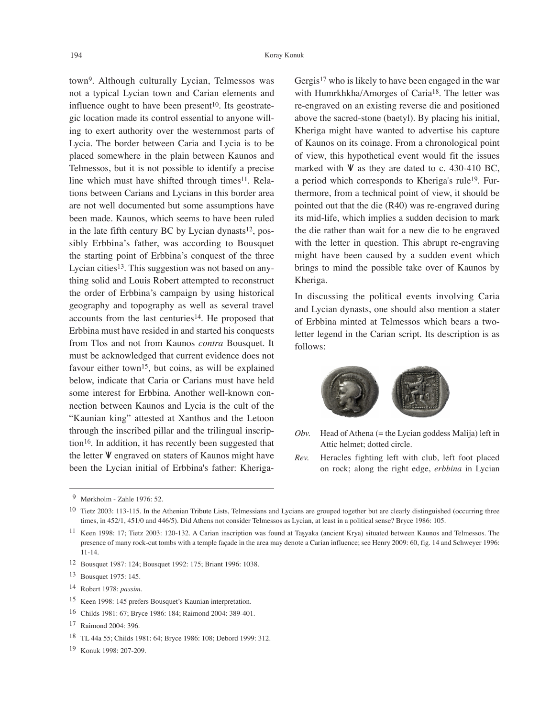town9. Although culturally Lycian, Telmessos was not a typical Lycian town and Carian elements and influence ought to have been present<sup>10</sup>. Its geostrategic location made its control essential to anyone willing to exert authority over the westernmost parts of Lycia. The border between Caria and Lycia is to be placed somewhere in the plain between Kaunos and Telmessos, but it is not possible to identify a precise line which must have shifted through times<sup>11</sup>. Relations between Carians and Lycians in this border area are not well documented but some assumptions have been made. Kaunos, which seems to have been ruled in the late fifth century BC by Lycian dynasts<sup>12</sup>, possibly Erbbina's father, was according to Bousquet the starting point of Erbbina's conquest of the three Lycian cities<sup>13</sup>. This suggestion was not based on anything solid and Louis Robert attempted to reconstruct the order of Erbbina's campaign by using historical geography and topography as well as several travel accounts from the last centuries<sup>14</sup>. He proposed that Erbbina must have resided in and started his conquests from Tlos and not from Kaunos *contra* Bousquet. It must be acknowledged that current evidence does not favour either town<sup>15</sup>, but coins, as will be explained below, indicate that Caria or Carians must have held some interest for Erbbina. Another well-known connection between Kaunos and Lycia is the cult of the "Kaunian king" attested at Xanthos and the Letoon through the inscribed pillar and the trilingual inscription16. In addition, it has recently been suggested that the letter  $V$  engraved on staters of Kaunos might have been the Lycian initial of Erbbina's father: KherigaGergis<sup>17</sup> who is likely to have been engaged in the war with Humrkhkha/Amorges of Caria<sup>18</sup>. The letter was re-engraved on an existing reverse die and positioned above the sacred-stone (baetyl). By placing his initial, Kheriga might have wanted to advertise his capture of Kaunos on its coinage. From a chronological point of view, this hypothetical event would fit the issues marked with  $V$  as they are dated to c. 430-410 BC, a period which corresponds to Kheriga's rule19. Furthermore, from a technical point of view, it should be pointed out that the die (R40) was re-engraved during its mid-life, which implies a sudden decision to mark the die rather than wait for a new die to be engraved with the letter in question. This abrupt re-engraving might have been caused by a sudden event which brings to mind the possible take over of Kaunos by Kheriga.

In discussing the political events involving Caria and Lycian dynasts, one should also mention a stater of Erbbina minted at Telmessos which bears a twoletter legend in the Carian script. Its description is as follows:



- *Obv.* Head of Athena (= the Lycian goddess Malija) left in Attic helmet; dotted circle.
- *Rev.* Heracles fighting left with club, left foot placed on rock; along the right edge, *erbbina* in Lycian

19 Konuk 1998: 207-209.

 <sup>9</sup> Mørkholm - Zahle 1976: 52.

<sup>&</sup>lt;sup>10</sup> Tietz 2003: 113-115. In the Athenian Tribute Lists, Telmessians and Lycians are grouped together but are clearly distinguished (occurring three times, in 452/1, 451/0 and 446/5). Did Athens not consider Telmessos as Lycian, at least in a political sense? Bryce 1986: 105.

<sup>11</sup> Keen 1998: 17; Tietz 2003: 120-132. A Carian inscription was found at Taşyaka (ancient Krya) situated between Kaunos and Telmessos. The presence of many rock-cut tombs with a temple façade in the area may denote a Carian influence; see Henry 2009: 60, fig. 14 and Schweyer 1996: 11-14.

<sup>12</sup> Bousquet 1987: 124; Bousquet 1992: 175; Briant 1996: 1038.

<sup>13</sup> Bousquet 1975: 145.

<sup>14</sup> Robert 1978: *passim*.

<sup>15</sup> Keen 1998: 145 prefers Bousquet's Kaunian interpretation.

<sup>16</sup> Childs 1981: 67; Bryce 1986: 184; Raimond 2004: 389-401.

<sup>17</sup> Raimond 2004: 396.

<sup>18</sup> TL 44a 55; Childs 1981: 64; Bryce 1986: 108; Debord 1999: 312.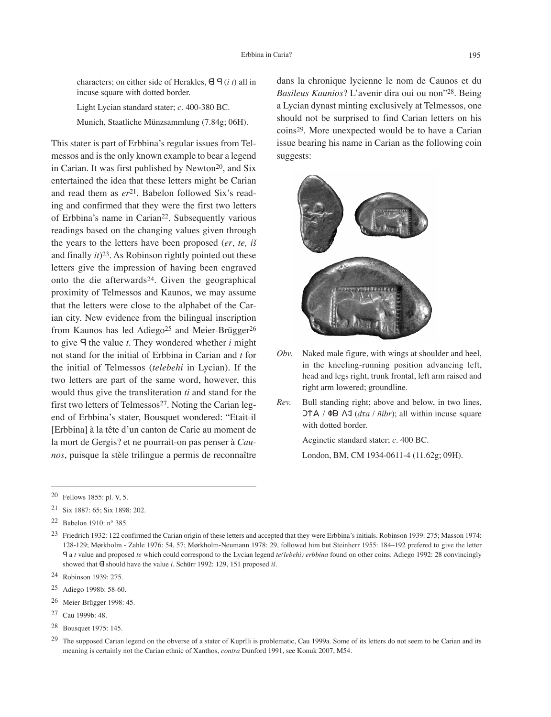characters; on either side of Herakles,  $\theta$   $\theta$  (*i t*) all in incuse square with dotted border.

Light Lycian standard stater; *c.* 400-380 BC. Munich, Staatliche Münzsammlung (7.84g; 06H).

This stater is part of Erbbina's regular issues from Telmessos and is the only known example to bear a legend in Carian. It was first published by Newton<sup>20</sup>, and Six entertained the idea that these letters might be Carian and read them as  $er^{21}$ . Babelon followed Six's reading and confirmed that they were the first two letters of Erbbina's name in Carian<sup>22</sup>. Subsequently various readings based on the changing values given through the years to the letters have been proposed (*er*, *te, iš* and finally *it*)23. As Robinson rightly pointed out these letters give the impression of having been engraved onto the die afterwards24. Given the geographical proximity of Telmessos and Kaunos, we may assume that the letters were close to the alphabet of the Carian city. New evidence from the bilingual inscription from Kaunos has led Adiego<sup>25</sup> and Meier-Brügger<sup>26</sup> to give  $\Theta$  the value *t*. They wondered whether *i* might not stand for the initial of Erbbina in Carian and *t* for the initial of Telmessos (*telebehi* in Lycian). If the two letters are part of the same word, however, this would thus give the transliteration *ti* and stand for the first two letters of Telmessos<sup>27</sup>. Noting the Carian legend of Erbbina's stater, Bousquet wondered: "Etait-il [Erbbina] à la tête d'un canton de Carie au moment de la mort de Gergis? et ne pourrait-on pas penser à *Caunos*, puisque la stèle trilingue a permis de reconnaître

dans la chronique lycienne le nom de Caunos et du *Basileus Kaunios*? L'avenir dira oui ou non"28. Being a Lycian dynast minting exclusively at Telmessos, one should not be surprised to find Carian letters on his coins29. More unexpected would be to have a Carian issue bearing his name in Carian as the following coin suggests:



- *Obv.* Naked male figure, with wings at shoulder and heel, in the kneeling-running position advancing left, head and legs right, trunk frontal, left arm raised and right arm lowered; groundline.
- *Rev.* Bull standing right; above and below, in two lines,  $\Delta \uparrow \mathsf{A}$  /  $\Phi \mathsf{B}$   $\Delta \uparrow$  (*d*ta /  $\tilde{n}$ *ibr*); all within incuse square with dotted border.

Aeginetic standard stater; *c.* 400 BC.

London, BM, CM 1934-0611-4 (11.62g; 09H).

21 Six 1887: 65; Six 1898: 202.

- 25 Adiego 1998b: 58-60.
- 26 Meier-Brügger 1998: 45.
- 27 Cau 1999b: 48.
- 28 Bousquet 1975: 145.

<sup>20</sup> Fellows 1855: pl. V, 5.

<sup>22</sup> Babelon 1910: n° 385.

<sup>&</sup>lt;sup>23</sup> Friedrich 1932: 122 confirmed the Carian origin of these letters and accepted that they were Erbbina's initials. Robinson 1939: 275; Masson 1974: 128-129; Mørkholm - Zahle 1976: 54, 57; Mørkholm-Neumann 1978: 29, followed him but Steinherr 1955: 184–192 prefered to give the letter F a *t* value and proposed *te* which could correspond to the Lycian legend *te(lebehi) erbbina* found on other coins. Adiego 1992: 28 convincingly showed that  $\Theta$  should have the value *i*. Schürr 1992: 129, 151 proposed *iš*.

<sup>24</sup> Robinson 1939: 275.

<sup>&</sup>lt;sup>29</sup> The supposed Carian legend on the obverse of a stater of Kuprlli is problematic, Cau 1999a. Some of its letters do not seem to be Carian and its meaning is certainly not the Carian ethnic of Xanthos, *contra* Dunford 1991, see Konuk 2007, M54.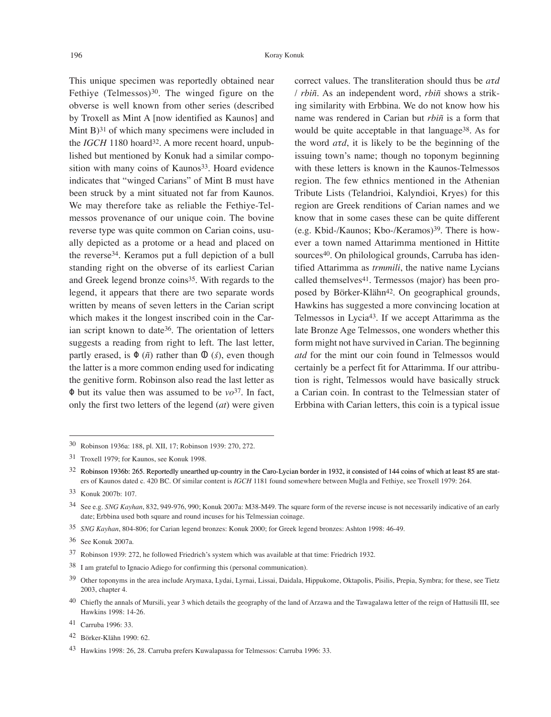This unique specimen was reportedly obtained near Fethive (Telmessos) $30$ . The winged figure on the obverse is well known from other series (described by Troxell as Mint A [now identified as Kaunos] and Mint  $B$ <sup>31</sup> of which many specimens were included in the *IGCH* 1180 hoard<sup>32</sup>. A more recent hoard, unpublished but mentioned by Konuk had a similar composition with many coins of Kaunos<sup>33</sup>. Hoard evidence indicates that "winged Carians" of Mint B must have been struck by a mint situated not far from Kaunos. We may therefore take as reliable the Fethiye-Telmessos provenance of our unique coin. The bovine reverse type was quite common on Carian coins, usually depicted as a protome or a head and placed on the reverse34. Keramos put a full depiction of a bull standing right on the obverse of its earliest Carian and Greek legend bronze coins<sup>35</sup>. With regards to the legend, it appears that there are two separate words written by means of seven letters in the Carian script which makes it the longest inscribed coin in the Carian script known to date<sup>36</sup>. The orientation of letters suggests a reading from right to left. The last letter, partly erased, is  $\Phi$  ( $\tilde{n}$ ) rather than  $\Phi$  ( $\tilde{s}$ ), even though the latter is a more common ending used for indicating the genitive form. Robinson also read the last letter as  $\Phi$  but its value then was assumed to be *vo*<sup>37</sup>. In fact, only the first two letters of the legend (*at*) were given correct values. The transliteration should thus be *aτd* / *rbiñ*. As an independent word, *rbiñ* shows a striking similarity with Erbbina. We do not know how his name was rendered in Carian but *rbiñ* is a form that would be quite acceptable in that language<sup>38</sup>. As for the word *aτd*, it is likely to be the beginning of the issuing town's name; though no toponym beginning with these letters is known in the Kaunos-Telmessos region. The few ethnics mentioned in the Athenian Tribute Lists (Telandrioi, Kalyndioi, Kryes) for this region are Greek renditions of Carian names and we know that in some cases these can be quite different (e.g. Kbid-/Kaunos; Kbo-/Keramos)39. There is however a town named Attarimma mentioned in Hittite sources<sup>40</sup>. On philological grounds, Carruba has identified Attarimma as *trmmili*, the native name Lycians called themselves<sup>41</sup>. Termessos (major) has been proposed by Börker-Klähn<sup>42</sup>. On geographical grounds, Hawkins has suggested a more convincing location at Telmessos in Lycia43. If we accept Attarimma as the late Bronze Age Telmessos, one wonders whether this form might not have survived in Carian. The beginning *atd* for the mint our coin found in Telmessos would certainly be a perfect fit for Attarimma. If our attribution is right, Telmessos would have basically struck a Carian coin. In contrast to the Telmessian stater of Erbbina with Carian letters, this coin is a typical issue

- 35 *SNG Kayhan*, 804-806; for Carian legend bronzes: Konuk 2000; for Greek legend bronzes: Ashton 1998: 46-49.
- 36 See Konuk 2007a.
- 37 Robinson 1939: 272, he followed Friedrich's system which was available at that time: Friedrich 1932.
- 38 I am grateful to Ignacio Adiego for confirming this (personal communication).
- 39 Other toponyms in the area include Arymaxa, Lydai, Lyrnai, Lissai, Daidala, Hippukome, Oktapolis, Pisilis, Prepia, Symbra; for these, see Tietz 2003, chapter 4.
- 40 Chiefly the annals of Mursili, year 3 which details the geography of the land of Arzawa and the Tawagalawa letter of the reign of Hattusili III, see Hawkins 1998: 14-26.
- 41 Carruba 1996: 33.
- 42 Börker-Klähn 1990: 62.

<sup>30</sup> Robinson 1936a: 188, pl. XII, 17; Robinson 1939: 270, 272.

<sup>31</sup> Troxell 1979; for Kaunos, see Konuk 1998.

<sup>32</sup> Robinson 1936b: 265. Reportedly unearthed up-country in the Caro-Lycian border in 1932, it consisted of 144 coins of which at least 85 are staters of Kaunos dated c. 420 BC. Of similar content is *IGCH* 1181 found somewhere between Muğla and Fethiye, see Troxell 1979: 264.

<sup>33</sup> Konuk 2007b: 107.

<sup>34</sup> See e.g. *SNG Kayhan*, 832, 949-976, 990; Konuk 2007a: M38-M49. The square form of the reverse incuse is not necessarily indicative of an early date; Erbbina used both square and round incuses for his Telmessian coinage.

<sup>43</sup> Hawkins 1998: 26, 28. Carruba prefers Kuwalapassa for Telmessos: Carruba 1996: 33.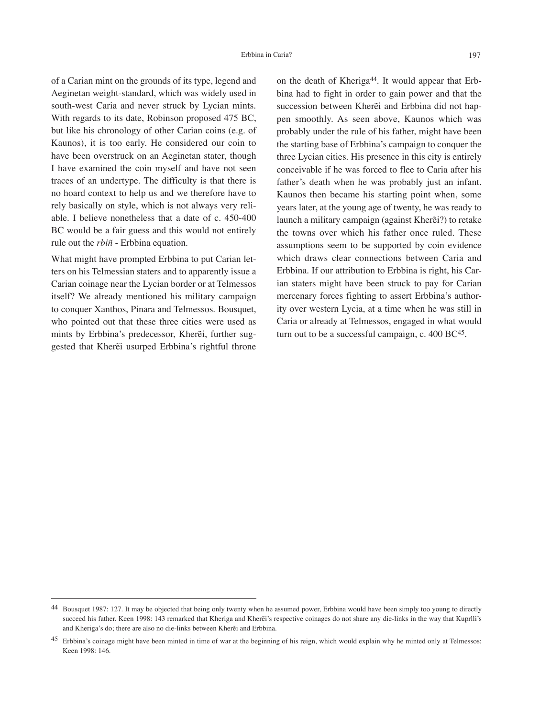of a Carian mint on the grounds of its type, legend and Aeginetan weight-standard, which was widely used in south-west Caria and never struck by Lycian mints. With regards to its date, Robinson proposed 475 BC, but like his chronology of other Carian coins (e.g. of Kaunos), it is too early. He considered our coin to have been overstruck on an Aeginetan stater, though I have examined the coin myself and have not seen traces of an undertype. The difficulty is that there is no hoard context to help us and we therefore have to rely basically on style, which is not always very reliable. I believe nonetheless that a date of c. 450-400 BC would be a fair guess and this would not entirely rule out the *rbiñ* - Erbbina equation.

What might have prompted Erbbina to put Carian letters on his Telmessian staters and to apparently issue a Carian coinage near the Lycian border or at Telmessos itself? We already mentioned his military campaign to conquer Xanthos, Pinara and Telmessos. Bousquet, who pointed out that these three cities were used as mints by Erbbina's predecessor, Kherẽi, further suggested that Kherẽi usurped Erbbina's rightful throne

on the death of Kheriga<sup>44</sup>. It would appear that Erbbina had to fight in order to gain power and that the succession between Kherẽi and Erbbina did not happen smoothly. As seen above, Kaunos which was probably under the rule of his father, might have been the starting base of Erbbina's campaign to conquer the three Lycian cities. His presence in this city is entirely conceivable if he was forced to flee to Caria after his father's death when he was probably just an infant. Kaunos then became his starting point when, some years later, at the young age of twenty, he was ready to launch a military campaign (against Kherẽi?) to retake the towns over which his father once ruled. These assumptions seem to be supported by coin evidence which draws clear connections between Caria and Erbbina. If our attribution to Erbbina is right, his Carian staters might have been struck to pay for Carian mercenary forces fighting to assert Erbbina's authority over western Lycia, at a time when he was still in Caria or already at Telmessos, engaged in what would turn out to be a successful campaign, c. 400 BC45.

<sup>44</sup> Bousquet 1987: 127. It may be objected that being only twenty when he assumed power, Erbbina would have been simply too young to directly succeed his father. Keen 1998: 143 remarked that Kheriga and Kherẽi's respective coinages do not share any die-links in the way that Kuprlli's and Kheriga's do; there are also no die-links between Kherẽi and Erbbina.

<sup>&</sup>lt;sup>45</sup> Erbbina's coinage might have been minted in time of war at the beginning of his reign, which would explain why he minted only at Telmessos: Keen 1998: 146.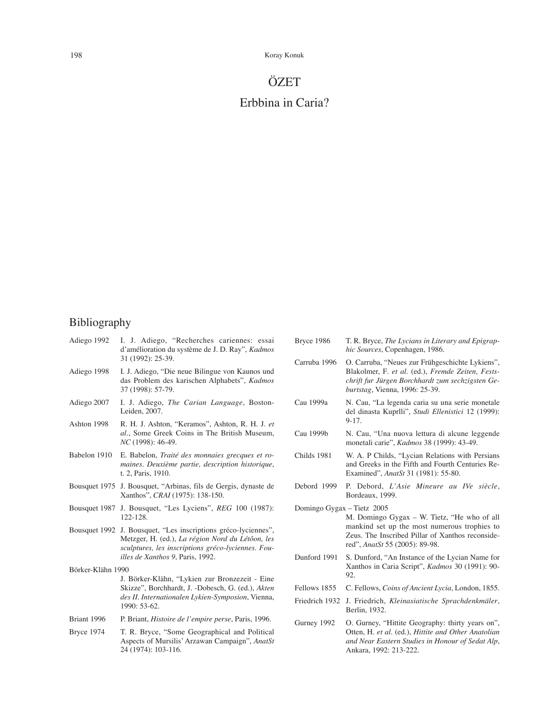198 Koray Konuk

# **ÖZET**

## Erbbina in Caria?

### Bibliography

|                      | Adiego 1992 I. J. Adiego, "Recherches cariennes: essai<br>d'amélioration du système de J. D. Ray", <i>Kadmos</i><br>31 (1992): 25-39. |
|----------------------|---------------------------------------------------------------------------------------------------------------------------------------|
| Adiego 1998          | I. J. Adiego, "Die neue Bilingue von Kaunos und<br>das Problem des karischen Alphabets", Kadmos<br>37 (1998): 57-79.                  |
| $\lambda$ diago 2007 | II Adiaza The Cavian Language Doctor                                                                                                  |

- Adiego 2007 I. J. Adiego, *The Carian Language*, Boston-Leiden, 2007.
- Ashton 1998 R. H. J. Ashton, "Keramos", Ashton, R. H. J. *et al*., Some Greek Coins in The British Museum, *NC* (1998): 46-49.
- Babelon 1910 E. Babelon, *Traité des monnaies grecques et romaines. Deuxième partie, description historique*, t. 2, Paris, 1910.
- Bousquet 1975 J. Bousquet, "Arbinas, fils de Gergis, dynaste de Xanthos", *CRAI* (1975): 138-150.
- Bousquet 1987 J. Bousquet, "Les Lyciens", *REG* 100 (1987): 122-128.
- Bousquet 1992 J. Bousquet, "Les inscriptions gréco-lyciennes", Metzger, H. (ed.), *La région Nord du Létôon, les sculptures, les inscriptions gréco-lyciennes. Fouilles de Xanthos 9*, Paris, 1992.

Börker-Klähn 1990

- J. Börker-Klähn, "Lykien zur Bronzezeit Eine Skizze", Borchhardt, J. -Dobesch, G. (ed.), *Akten des II. Internationalen Lykien-Symposion*, Vienna, 1990: 53-62.
- Briant 1996 P. Briant, *Histoire de l'empire perse*, Paris, 1996.
- Bryce 1974 T. R. Bryce, "Some Geographical and Political Aspects of Mursilis' Arzawan Campaign", *AnatSt* 24 (1974): 103-116.
- Bryce 1986 T. R. Bryce, *The Lycians in Literary and Epigraphic Sources*, Copenhagen, 1986. Carruba 1996 O. Carruba, "Neues zur Frühgeschichte Lykiens", Blakolmer, F*. et al.* (ed.), *Fremde Zeiten, Festschrift fur Jürgen Borchhardt zum sechzigsten Geburtstag*, Vienna, 1996: 25-39. Cau 1999a N. Cau, "La legenda caria su una serie monetale del dinasta Kuprlli", *Studi Ellenistici* 12 (1999): 9-17. Cau 1999b N. Cau, "Una nuova lettura di alcune leggende monetali carie", *Kadmos* 38 (1999): 43-49. Childs 1981 W. A. P Childs, "Lycian Relations with Persians and Greeks in the Fifth and Fourth Centuries Re-Examined", *AnatSt* 31 (1981): 55-80. Debord 1999 P. Debord, *L'Asie Mineure au IVe siècle*, Bordeaux, 1999. Domingo Gygax – Tietz 2005 M. Domingo Gygax – W. Tietz, "He who of all mankind set up the most numerous trophies to Zeus. The Inscribed Pillar of Xanthos reconsidered", *AnatSt* 55 (2005): 89-98. Dunford 1991 S. Dunford, "An Instance of the Lycian Name for Xanthos in Caria Script", *Kadmos* 30 (1991): 90- 92. Fellows 1855 C. Fellows, *Coins of Ancient Lycia*, London, 1855.
	- Friedrich 1932 J. Friedrich, *Kleinasiatische Sprachdenkmäler*, Berlin, 1932.
	- Gurney 1992 O. Gurney, "Hittite Geography: thirty years on", Otten, H. *et al.* (ed.), *Hittite and Other Anatolian and Near Eastern Studies in Honour of Sedat Alp*, Ankara, 1992: 213-222.